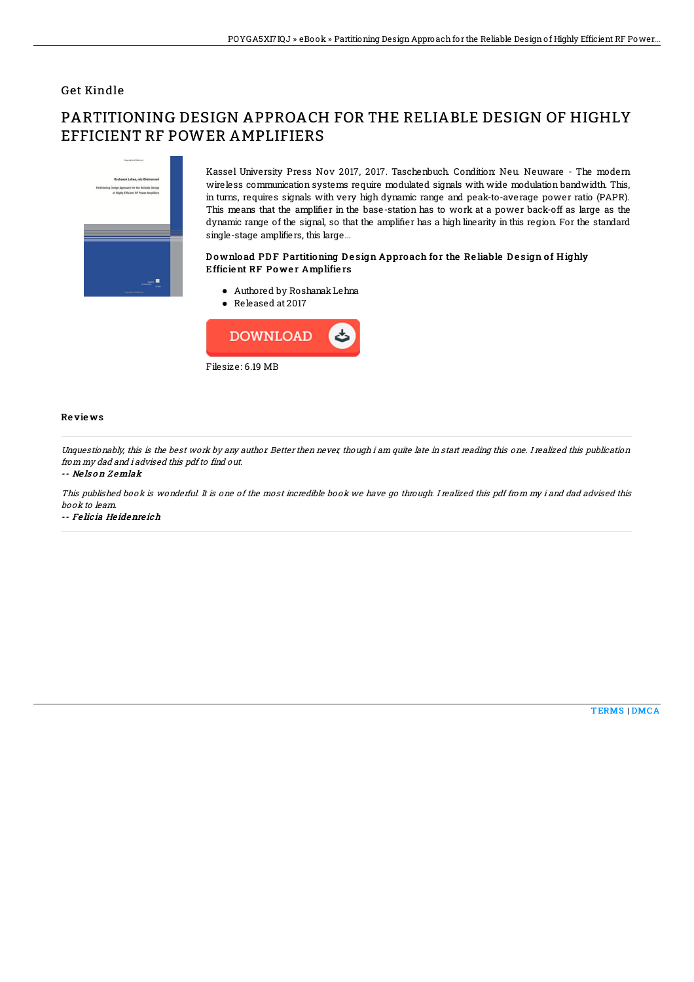## Get Kindle

# PARTITIONING DESIGN APPROACH FOR THE RELIABLE DESIGN OF HIGHLY EFFICIENT RF POWER AMPLIFIERS



Kassel University Press Nov 2017, 2017. Taschenbuch. Condition: Neu. Neuware - The modern wireless communication systems require modulated signals with wide modulation bandwidth. This, in turns, requires signals with very high dynamic range and peak-to-average power ratio (PAPR). This means that the amplifier in the base-station has to work at a power back-off as large as the dynamic range of the signal, so that the amplifier has a high linearity in this region. For the standard single-stage amplifiers, this large...

### Download PDF Partitioning Design Approach for the Reliable Design of Highly Efficie nt RF Po we r Amplifie rs

- Authored by RoshanakLehna
- Released at 2017



#### Re vie ws

Unquestionably, this is the best work by any author. Better then never, though i am quite late in start reading this one. I realized this publication from my dad and i advised this pdf to find out.

#### -- Ne ls o <sup>n</sup> Z emlak

This published book is wonderful. It is one of the most incredible book we have go through. I realized this pdf from my i and dad advised this book to learn.

-- Fe lic ia He idenre ich